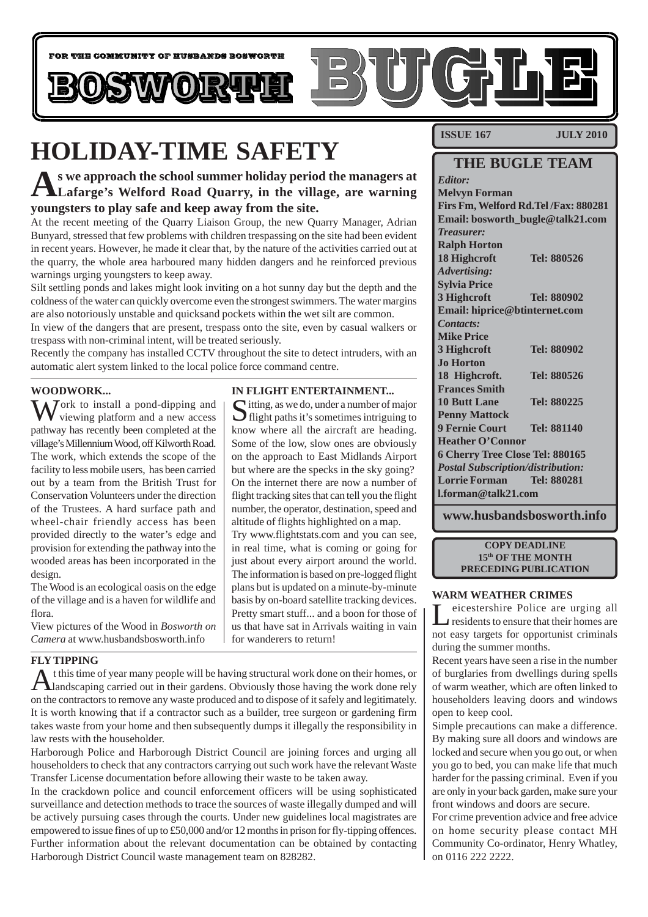

**IN FLIGHT ENTERTAINMENT...**

Sitting, as we do, under a number of major flight paths it's sometimes intriguing to know where all the aircraft are heading. Some of the low, slow ones are obviously on the approach to East Midlands Airport but where are the specks in the sky going? On the internet there are now a number of flight tracking sites that can tell you the flight number, the operator, destination, speed and altitude of flights highlighted on a map. Try www.flightstats.com and you can see, in real time, what is coming or going for just about every airport around the world. The information is based on pre-logged flight plans but is updated on a minute-by-minute basis by on-board satellite tracking devices. Pretty smart stuff... and a boon for those of us that have sat in Arrivals waiting in vain

# **HOLIDAY-TIME SAFETY**

**As we approach the school summer holiday period the managers at Lafarge's Welford Road Quarry, in the village, are warning youngsters to play safe and keep away from the site.**

At the recent meeting of the Quarry Liaison Group, the new Quarry Manager, Adrian Bunyard, stressed that few problems with children trespassing on the site had been evident in recent years. However, he made it clear that, by the nature of the activities carried out at the quarry, the whole area harboured many hidden dangers and he reinforced previous warnings urging youngsters to keep away.

Silt settling ponds and lakes might look inviting on a hot sunny day but the depth and the coldness of the water can quickly overcome even the strongest swimmers. The water margins are also notoriously unstable and quicksand pockets within the wet silt are common.

In view of the dangers that are present, trespass onto the site, even by casual walkers or trespass with non-criminal intent, will be treated seriously.

Recently the company has installed CCTV throughout the site to detect intruders, with an automatic alert system linked to the local police force command centre.

# **WOODWORK...**

 $\sum_{n=1}^{\infty}$  Jork to install a pond-dipping and viewing platform and a new access pathway has recently been completed at the village's Millennium Wood, off Kilworth Road. The work, which extends the scope of the facility to less mobile users, has been carried out by a team from the British Trust for Conservation Volunteers under the direction of the Trustees. A hard surface path and wheel-chair friendly access has been provided directly to the water's edge and provision for extending the pathway into the wooded areas has been incorporated in the design.

The Wood is an ecological oasis on the edge of the village and is a haven for wildlife and flora.

View pictures of the Wood in *Bosworth on Camera* at www.husbandsbosworth.info

# **FLY TIPPING**

At this time of year many people will be having structural work done on their homes, or all and scaping carried out in their gardens. Obviously those having the work done rely on the contractors to remove any waste produced and to dispose of it safely and legitimately. It is worth knowing that if a contractor such as a builder, tree surgeon or gardening firm takes waste from your home and then subsequently dumps it illegally the responsibility in law rests with the householder.

for wanderers to return!

Harborough Police and Harborough District Council are joining forces and urging all householders to check that any contractors carrying out such work have the relevant Waste Transfer License documentation before allowing their waste to be taken away.

In the crackdown police and council enforcement officers will be using sophisticated surveillance and detection methods to trace the sources of waste illegally dumped and will be actively pursuing cases through the courts. Under new guidelines local magistrates are empowered to issue fines of up to £50,000 and/or 12 months in prison for fly-tipping offences. Further information about the relevant documentation can be obtained by contacting Harborough District Council waste management team on 828282.

**ISSUE 167 JULY 2010** 

# **THE BUGLE TEAM**

*Editor:* **Melvyn Forman Firs Fm, Welford Rd.Tel /Fax: 880281 Email: bosworth\_bugle@talk21.com** *Treasurer:* **Ralph Horton 18 Highcroft Tel: 880526** *Advertising:* **Sylvia Price 3 Highcroft Tel: 880902 Email: hiprice@btinternet.com** *Contacts:* **Mike Price 3 Highcroft Tel: 880902 Jo Horton 18 Highcroft. Tel: 880526 Frances Smith 10 Butt Lane Tel: 880225 Penny Mattock 9 Fernie Court Tel: 881140 Heather O'Connor 6 Cherry Tree Close Tel: 880165** *Postal Subscription/distribution:* **Lorrie Forman Tel: 880281 l.forman@talk21.com**

**www.husbandsbosworth.info**

**COPY DEADLINE 15th OF THE MONTH PRECEDING PUBLICATION**

#### **WARM WEATHER CRIMES**

Leicestershire Police are urging all<br>residents to ensure that their homes are not easy targets for opportunist criminals during the summer months.

Recent years have seen a rise in the number of burglaries from dwellings during spells of warm weather, which are often linked to householders leaving doors and windows open to keep cool.

Simple precautions can make a difference. By making sure all doors and windows are locked and secure when you go out, or when you go to bed, you can make life that much harder for the passing criminal. Even if you are only in your back garden, make sure your front windows and doors are secure.

For crime prevention advice and free advice on home security please contact MH Community Co-ordinator, Henry Whatley, on 0116 222 2222.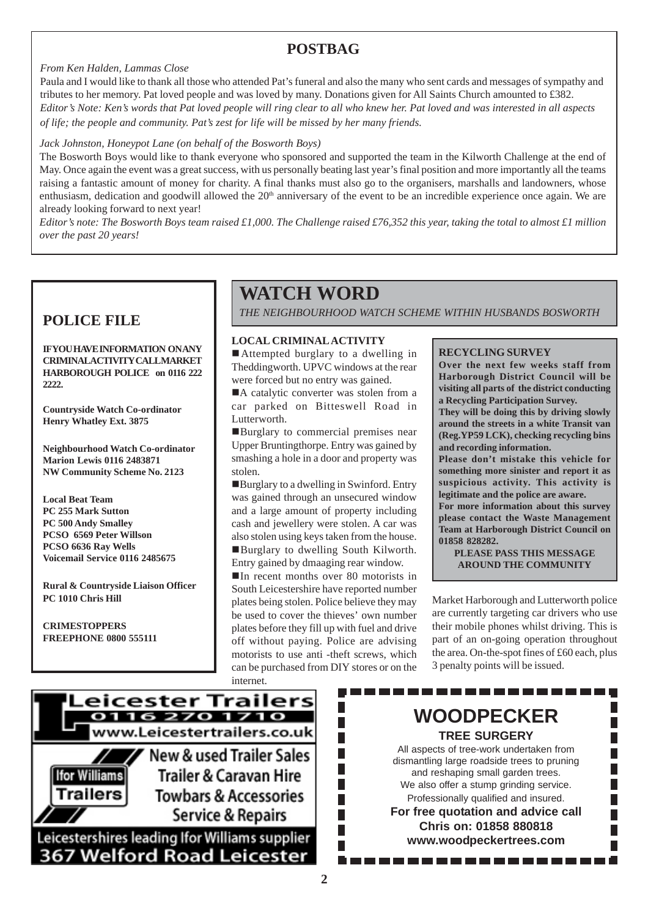# **POSTBAG**

# *From Ken Halden, Lammas Close*

Paula and I would like to thank all those who attended Pat's funeral and also the many who sent cards and messages of sympathy and tributes to her memory. Pat loved people and was loved by many. Donations given for All Saints Church amounted to £382. *Editor's Note: Ken's words that Pat loved people will ring clear to all who knew her. Pat loved and was interested in all aspects of life; the people and community. Pat's zest for life will be missed by her many friends.*

# *Jack Johnston, Honeypot Lane (on behalf of the Bosworth Boys)*

The Bosworth Boys would like to thank everyone who sponsored and supported the team in the Kilworth Challenge at the end of May. Once again the event was a great success, with us personally beating last year's final position and more importantly all the teams raising a fantastic amount of money for charity. A final thanks must also go to the organisers, marshalls and landowners, whose enthusiasm, dedication and goodwill allowed the  $20<sup>th</sup>$  anniversary of the event to be an incredible experience once again. We are already looking forward to next year!

*Editor's note: The Bosworth Boys team raised £1,000. The Challenge raised £76,352 this year, taking the total to almost £1 million over the past 20 years!*

**IF YOU HAVE INFORMATION ON ANY CRIMINAL ACTIVITY CALL MARKET HARBOROUGH POLICE on 0116 222 2222.**

**Countryside Watch Co-ordinator Henry Whatley Ext. 3875**

**Neighbourhood Watch Co-ordinator Marion Lewis 0116 2483871 NW Community Scheme No. 2123**

**Local Beat Team PC 255 Mark Sutton PC 500 Andy Smalley PCSO 6569 Peter Willson PCSO 6636 Ray Wells Voicemail Service 0116 2485675**

**Rural & Countryside Liaison Officer PC 1010 Chris Hill**

**CRIMESTOPPERS FREEPHONE 0800 555111**

# **WATCH WORD**

**POLICE FILE** *THE NEIGHBOURHOOD WATCH SCHEME WITHIN HUSBANDS BOSWORTH* 

# **LOCAL CRIMINAL ACTIVITY**

■ Attempted burglary to a dwelling in Theddingworth. UPVC windows at the rear were forced but no entry was gained.

A catalytic converter was stolen from a car parked on Bitteswell Road in Lutterworth.

**Example 1** Burglary to commercial premises near Upper Bruntingthorpe. Entry was gained by smashing a hole in a door and property was stolen.

!Burglary to a dwelling in Swinford. Entry was gained through an unsecured window and a large amount of property including cash and jewellery were stolen. A car was also stolen using keys taken from the house. !Burglary to dwelling South Kilworth. Entry gained by dmaaging rear window.

!In recent months over 80 motorists in South Leicestershire have reported number plates being stolen. Police believe they may be used to cover the thieves' own number plates before they fill up with fuel and drive off without paying. Police are advising motorists to use anti -theft screws, which can be purchased from DIY stores or on the internet.

 $\overline{\phantom{a}}$ 

 $\overline{\phantom{a}}$ 

 $\overline{\phantom{a}}$ 

П

П

 $\overline{\phantom{a}}$ 

# **RECYCLING SURVEY**

**Over the next few weeks staff from Harborough District Council will be visiting all parts of the district conducting a Recycling Participation Survey.**

**They will be doing this by driving slowly around the streets in a white Transit van (Reg.YP59 LCK), checking recycling bins and recording information.**

**Please don't mistake this vehicle for something more sinister and report it as suspicious activity. This activity is legitimate and the police are aware.**

**For more information about this survey please contact the Waste Management Team at Harborough District Council on 01858 828282.**

**PLEASE PASS THIS MESSAGE AROUND THE COMMUNITY**

Market Harborough and Lutterworth police are currently targeting car drivers who use their mobile phones whilst driving. This is part of an on-going operation throughout the area. On-the-spot fines of £60 each, plus 3 penalty points will be issued.

----------



**367 Welford Road Leicester** 

**WOODPECKER TREE SURGERY** All aspects of tree-work undertaken from dismantling large roadside trees to pruning and reshaping small garden trees. We also offer a stump grinding service. Professionally qualified and insured. **For free quotation and advice call Chris on: 01858 880818 www.woodpeckertrees.com**. . . . . . . . . .

**2**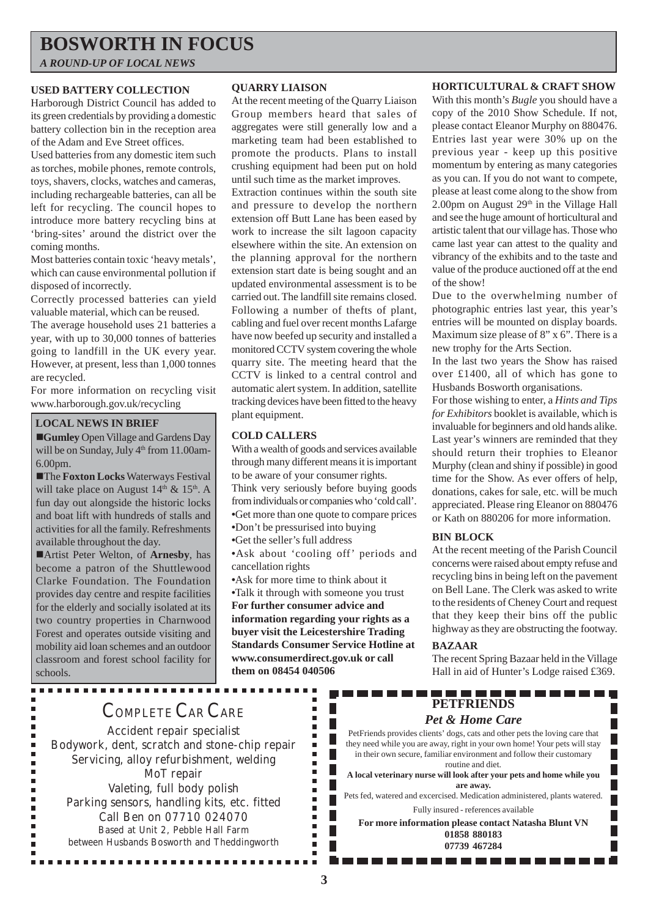# **BOSWORTH IN FOCUS**

*A ROUND-UP OF LOCAL NEWS*

# **USED BATTERY COLLECTION**

Harborough District Council has added to its green credentials by providing a domestic battery collection bin in the reception area of the Adam and Eve Street offices.

Used batteries from any domestic item such as torches, mobile phones, remote controls, toys, shavers, clocks, watches and cameras, including rechargeable batteries, can all be left for recycling. The council hopes to introduce more battery recycling bins at 'bring-sites' around the district over the coming months.

Most batteries contain toxic 'heavy metals', which can cause environmental pollution if disposed of incorrectly.

Correctly processed batteries can yield valuable material, which can be reused.

The average household uses 21 batteries a year, with up to 30,000 tonnes of batteries going to landfill in the UK every year. However, at present, less than 1,000 tonnes are recycled.

For more information on recycling visit www.harborough.gov.uk/recycling

# **LOCAL NEWS IN BRIEF**

!**Gumley** Open Village and Gardens Day will be on Sunday, July 4<sup>th</sup> from 11.00am-6.00pm.

**The Foxton Locks Waterways Festival** will take place on August  $14<sup>th</sup>$  &  $15<sup>th</sup>$ . A fun day out alongside the historic locks and boat lift with hundreds of stalls and activities for all the family. Refreshments available throughout the day.

!Artist Peter Welton, of **Arnesby**, has become a patron of the Shuttlewood Clarke Foundation. The Foundation provides day centre and respite facilities for the elderly and socially isolated at its two country properties in Charnwood Forest and operates outside visiting and mobility aid loan schemes and an outdoor classroom and forest school facility for schools.

**...............** 

# **QUARRY LIAISON**

At the recent meeting of the Quarry Liaison Group members heard that sales of aggregates were still generally low and a marketing team had been established to promote the products. Plans to install crushing equipment had been put on hold until such time as the market improves.

Extraction continues within the south site and pressure to develop the northern extension off Butt Lane has been eased by work to increase the silt lagoon capacity elsewhere within the site. An extension on the planning approval for the northern extension start date is being sought and an updated environmental assessment is to be carried out. The landfill site remains closed. Following a number of thefts of plant, cabling and fuel over recent months Lafarge have now beefed up security and installed a monitored CCTV system covering the whole quarry site. The meeting heard that the CCTV is linked to a central control and automatic alert system. In addition, satellite tracking devices have been fitted to the heavy plant equipment.

# **COLD CALLERS**

With a wealth of goods and services available through many different means it is important to be aware of your consumer rights. Think very seriously before buying goods from individuals or companies who 'cold call'. **•**Get more than one quote to compare prices **•**Don't be pressurised into buying **•**Get the seller's full address

**•**Ask about 'cooling off' periods and

cancellation rights

**•**Ask for more time to think about it

**•**Talk it through with someone you trust **For further consumer advice and information regarding your rights as a buyer visit the Leicestershire Trading Standards Consumer Service Hotline at www.consumerdirect.gov.uk or call them on 08454 040506**

П

 $\blacksquare$  $\blacksquare$ Г  $\blacksquare$  $\blacksquare$ г  $\blacksquare$  $\blacksquare$ Г  $\blacksquare$ Г  $\blacksquare$  $\blacksquare$ Г  $\blacksquare$  $\blacksquare$ ٠ Г  $\blacksquare$  $\blacksquare$  $\blacksquare$ ×

### **HORTICULTURAL & CRAFT SHOW**

With this month's *Bugle* you should have a copy of the 2010 Show Schedule. If not, please contact Eleanor Murphy on 880476. Entries last year were 30% up on the previous year - keep up this positive momentum by entering as many categories as you can. If you do not want to compete, please at least come along to the show from 2.00pm on August  $29<sup>th</sup>$  in the Village Hall and see the huge amount of horticultural and artistic talent that our village has. Those who came last year can attest to the quality and vibrancy of the exhibits and to the taste and value of the produce auctioned off at the end of the show!

Due to the overwhelming number of photographic entries last year, this year's entries will be mounted on display boards. Maximum size please of 8" x 6". There is a new trophy for the Arts Section.

In the last two years the Show has raised over £1400, all of which has gone to Husbands Bosworth organisations.

For those wishing to enter, a *Hints and Tips for Exhibitors* booklet is available, which is invaluable for beginners and old hands alike. Last year's winners are reminded that they should return their trophies to Eleanor Murphy (clean and shiny if possible) in good time for the Show. As ever offers of help, donations, cakes for sale, etc. will be much appreciated. Please ring Eleanor on 880476 or Kath on 880206 for more information.

#### **BIN BLOCK**

At the recent meeting of the Parish Council concerns were raised about empty refuse and recycling bins in being left on the pavement on Bell Lane. The Clerk was asked to write to the residents of Cheney Court and request that they keep their bins off the public highway as they are obstructing the footway.

# **BAZAAR**

The recent Spring Bazaar held in the Village Hall in aid of Hunter's Lodge raised £369.

1 E E E E E

 $\overline{\phantom{a}}$ 

# -------**PETFRIENDS**

# *Pet & Home Care*

PetFriends provides clients' dogs, cats and other pets the loving care that they need while you are away, right in your own home! Your pets will stay in their own secure, familiar environment and follow their customary routine and diet.

**A local veterinary nurse will look after your pets and home while you are away.**

Pets fed, watered and excercised. Medication administered, plants watered. Fully insured - references available

**For more information please contact Natasha Blunt VN 01858 880183 07739 467284**

. . . . . . . . . . . . .

# COMPLETE CAR CARE

Accident repair specialist Bodywork, dent, scratch and stone-chip repair Servicing, alloy refurbishment, welding MoT repair Valeting, full body polish Parking sensors, handling kits, etc. fitted Call Ben on 07710 024070 Based at Unit 2, Pebble Hall Farm between Husbands Bosworth and Theddingworth

...............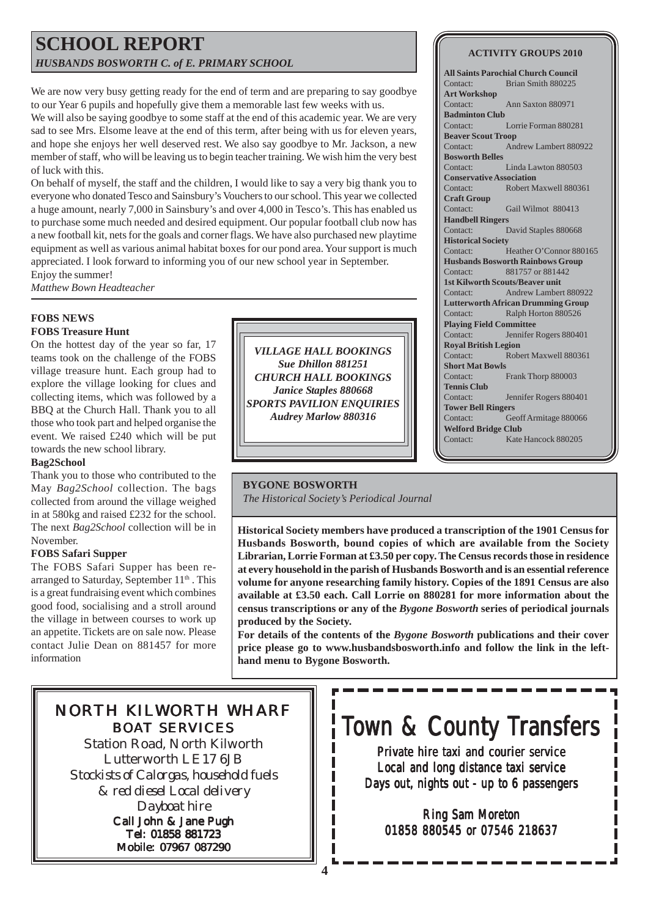# **SCHOOL REPORT** *HUSBANDS BOSWORTH C. of E. PRIMARY SCHOOL*

We are now very busy getting ready for the end of term and are preparing to say goodbye to our Year 6 pupils and hopefully give them a memorable last few weeks with us.

We will also be saying goodbye to some staff at the end of this academic year. We are very sad to see Mrs. Elsome leave at the end of this term, after being with us for eleven years, and hope she enjoys her well deserved rest. We also say goodbye to Mr. Jackson, a new member of staff, who will be leaving us to begin teacher training. We wish him the very best of luck with this.

On behalf of myself, the staff and the children, I would like to say a very big thank you to everyone who donated Tesco and Sainsbury's Vouchers to our school. This year we collected a huge amount, nearly 7,000 in Sainsbury's and over 4,000 in Tesco's. This has enabled us to purchase some much needed and desired equipment. Our popular football club now has a new football kit, nets for the goals and corner flags. We have also purchased new playtime equipment as well as various animal habitat boxes for our pond area. Your support is much appreciated. I look forward to informing you of our new school year in September.

Enjoy the summer! *Matthew Bown Headteacher*

# **FOBS NEWS**

# **FOBS Treasure Hunt**

On the hottest day of the year so far, 17 teams took on the challenge of the FOBS village treasure hunt. Each group had to explore the village looking for clues and collecting items, which was followed by a BBQ at the Church Hall. Thank you to all those who took part and helped organise the event. We raised £240 which will be put towards the new school library.

# **Bag2School**

Thank you to those who contributed to the May *Bag2School* collection. The bags collected from around the village weighed in at 580kg and raised £232 for the school. The next *Bag2School* collection will be in November.

# **FOBS Safari Supper**

The FOBS Safari Supper has been rearranged to Saturday, September  $11<sup>th</sup>$ . This is a great fundraising event which combines good food, socialising and a stroll around the village in between courses to work up an appetite. Tickets are on sale now. Please contact Julie Dean on 881457 for more information

*VILLAGE HALL BOOKINGS Sue Dhillon 881251 CHURCH HALL BOOKINGS Janice Staples 880668 SPORTS PAVILION ENQUIRIES Audrey Marlow 880316*

# **BYGONE BOSWORTH** *The Historical Society's Periodical Journal*

**Historical Society members have produced a transcription of the 1901 Census for Husbands Bosworth, bound copies of which are available from the Society Librarian, Lorrie Forman at £3.50 per copy. The Census records those in residence at every household in the parish of Husbands Bosworth and is an essential reference volume for anyone researching family history. Copies of the 1891 Census are also available at £3.50 each. Call Lorrie on 880281 for more information about the census transcriptions or any of the** *Bygone Bosworth* **series of periodical journals produced by the Society.**

**For details of the contents of the** *Bygone Bosworth* **publications and their cover price please go to www.husbandsbosworth.info and follow the link in the lefthand menu to Bygone Bosworth.**

# NORTH KILWORTH WHARF BOAT SERVICES

Station Road, North Kilworth Lutterworth LE17 6JB *Stockists of Calorgas, household fuels & red diesel Local delivery Dayboat hire* Call John & Jane Pugh

Tel: 01858 881723 Mobile: 07967 087290

# Town & County Transfers

Private hire taxi and courier service Local and long distance taxi service Days out, nights out - up to  $6$  passengers

Ring Sam Moreton 01858 880545 or 07546 218637

# **ACTIVITY GROUPS 2010**

**All Saints Parochial Church Council** Contact: Brian Smith 880225 **Art Workshop** Contact: Ann Saxton 880971 **Badminton Club** Contact: Lorrie Forman 880281 **Beaver Scout Troop** Contact: Andrew Lambert 880922 **Bosworth Belles** Contact: Linda Lawton 880503 **Conservative Association** Contact: Robert Maxwell 880361 **Craft Group** Contact: Gail Wilmot 880413 **Handbell Ringers** Contact: David Staples 880668 **Historical Society** Contact: Heather O'Connor 880165 **Husbands Bosworth Rainbows Group** Contact: 881757 or 881442 **1st Kilworth Scouts/Beaver unit** Contact: Andrew Lambert 880922 **Lutterworth African Drumming Group** Contact: Ralph Horton 880526 **Playing Field Committee** Contact: Jennifer Rogers 880401 **Royal British Legion** Contact: Robert Maxwell 880361 **Short Mat Bowls** Contact: Frank Thorp 880003 **Tennis Club** Contact: Jennifer Rogers 880401 **Tower Bell Ringers** Contact: Geoff Armitage 880066 **Welford Bridge Club** Contact: Kate Hancock 880205

п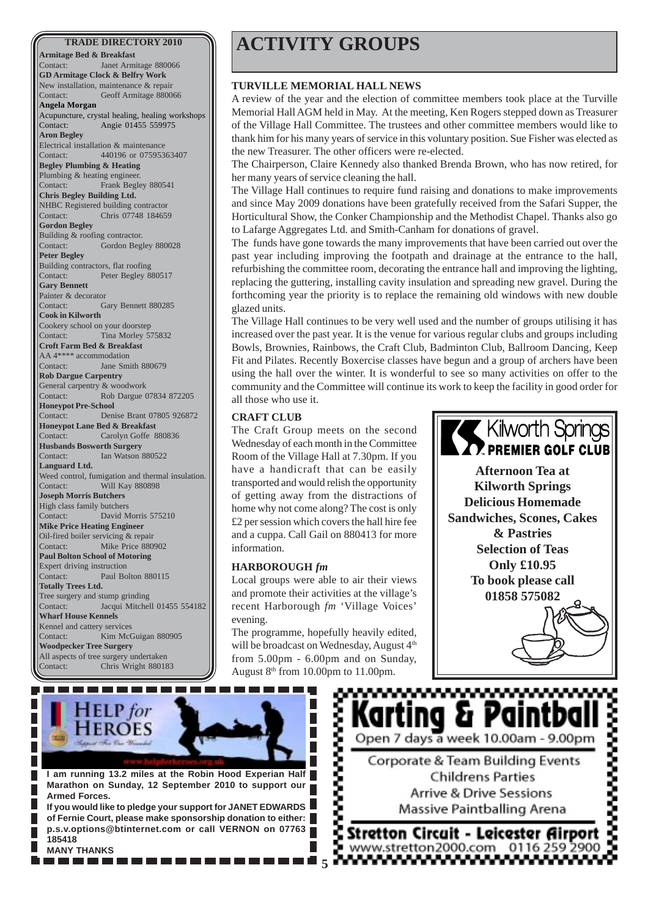**Armitage Bed & Breakfast** Contact: Janet Armitage 880066 **GD Armitage Clock & Belfry Work** New installation, maintenance & repair Contact: Geoff Armitage 880066 **Angela Morgan** Acupuncture, crystal healing, healing workshops Contact: Angie 01455 559975 **Aron Begley** Electrical installation & maintenance Contact: 440196 or 07595363407 **Begley Plumbing & Heating** Plumbing & heating engineer. Contact: Frank Begley 880541 **Chris Begley Building Ltd.** NHBC Registered building contractor Contact: Chris 07748 184659 **Gordon Begley** Building & roofing contractor. Contact: Gordon Begley 880028 **Peter Begley** Building contractors, flat roofing Contact: Peter Begley 880517 **Gary Bennett** Painter & decorator Contact: Gary Bennett 880285 **Cook in Kilworth** Cookery school on your doorstep Contact: Tina Morley 575832 **Croft Farm Bed & Breakfast** AA 4\*\*\*\* accommodation Contact: Jane Smith 880679 **Rob Dargue Carpentry** General carpentry & woodwork Contact: Rob Dargue 07834 872205 **Honeypot Pre-School** Contact: Denise Brant 07805 926872 **Honeypot Lane Bed & Breakfast** Contact: Carolyn Goffe 880836 **Husbands Bosworth Surgery** Contact: Ian Watson 880522 **Languard Ltd.** Weed control, fumigation and thermal insulation. Contact: Will Kay 880898 **Joseph Morris Butchers** High class family butchers Contact: David Morris 575210 **Mike Price Heating Engineer** Oil-fired boiler servicing & repair Contact: Mike Price 880902 **Paul Bolton School of Motoring** Expert driving instruction Contact: Paul Bolton 880115 **Totally Trees Ltd.** Tree surgery and stump grinding Contact: Jacqui Mitchell 01455 554182 **Wharf House Kennels** Kennel and cattery services Contact: Kim McGuigan 880905 **Woodpecker Tree Surgery** All aspects of tree surgery undertaken Contact: Chris Wright 880183

# **TRADE DIRECTORY 2010 ACTIVITY GROUPS**

#### **TURVILLE MEMORIAL HALL NEWS**

A review of the year and the election of committee members took place at the Turville Memorial Hall AGM held in May. At the meeting, Ken Rogers stepped down as Treasurer of the Village Hall Committee. The trustees and other committee members would like to thank him for his many years of service in this voluntary position. Sue Fisher was elected as the new Treasurer. The other officers were re-elected.

The Chairperson, Claire Kennedy also thanked Brenda Brown, who has now retired, for her many years of service cleaning the hall.

The Village Hall continues to require fund raising and donations to make improvements and since May 2009 donations have been gratefully received from the Safari Supper, the Horticultural Show, the Conker Championship and the Methodist Chapel. Thanks also go to Lafarge Aggregates Ltd. and Smith-Canham for donations of gravel.

The funds have gone towards the many improvements that have been carried out over the past year including improving the footpath and drainage at the entrance to the hall, refurbishing the committee room, decorating the entrance hall and improving the lighting, replacing the guttering, installing cavity insulation and spreading new gravel. During the forthcoming year the priority is to replace the remaining old windows with new double glazed units.

The Village Hall continues to be very well used and the number of groups utilising it has increased over the past year. It is the venue for various regular clubs and groups including Bowls, Brownies, Rainbows, the Craft Club, Badminton Club, Ballroom Dancing, Keep Fit and Pilates. Recently Boxercise classes have begun and a group of archers have been using the hall over the winter. It is wonderful to see so many activities on offer to the community and the Committee will continue its work to keep the facility in good order for all those who use it.

# **CRAFT CLUB**

The Craft Group meets on the second Wednesday of each month in the Committee Room of the Village Hall at 7.30pm. If you have a handicraft that can be easily transported and would relish the opportunity of getting away from the distractions of home why not come along? The cost is only £2 per session which covers the hall hire fee and a cuppa. Call Gail on 880413 for more information.

#### **HARBOROUGH** *fm*

Local groups were able to air their views and promote their activities at the village's recent Harborough *fm* 'Village Voices' evening.

The programme, hopefully heavily edited, will be broadcast on Wednesday, August 4<sup>th</sup> from 5.00pm - 6.00pm and on Sunday, August  $8<sup>th</sup>$  from 10.00pm to 11.00pm.



**Afternoon Tea at Kilworth Springs Delicious Homemade Sandwiches, Scones, Cakes & Pastries Selection of Teas Only £10.95 To book please call 01858 575082**





,,,,,,,,,,,,,,,,,,,,,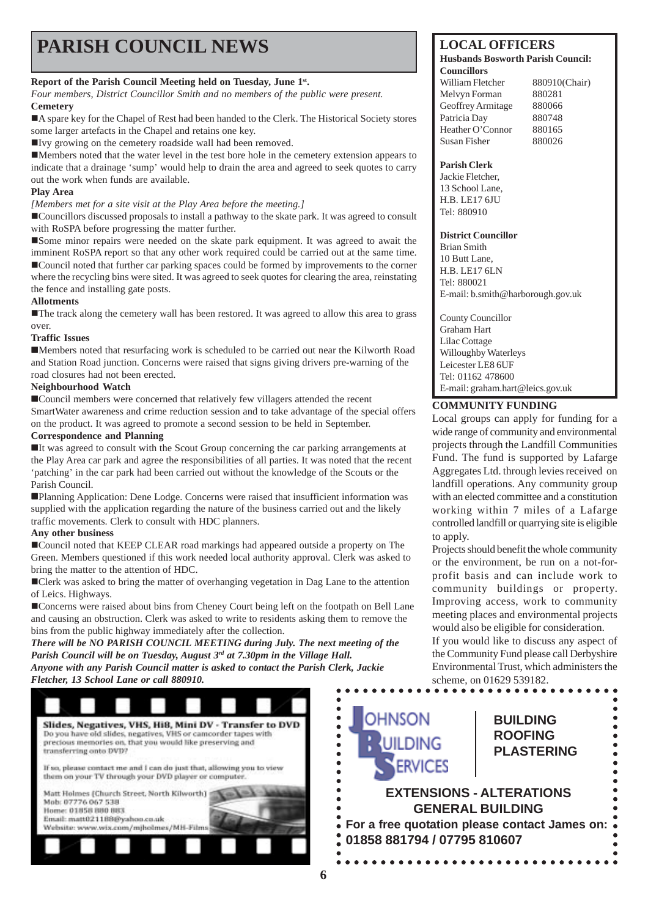# **PARISH COUNCIL NEWS** LOCAL OFFICERS

# **Report of the Parish Council Meeting held on Tuesday, June 1st.**

*Four members, District Councillor Smith and no members of the public were present.* **Cemetery**

!A spare key for the Chapel of Rest had been handed to the Clerk. The Historical Society stores some larger artefacts in the Chapel and retains one key.

!Ivy growing on the cemetery roadside wall had been removed.

!Members noted that the water level in the test bore hole in the cemetery extension appears to indicate that a drainage 'sump' would help to drain the area and agreed to seek quotes to carry out the work when funds are available.

# **Play Area**

*[Members met for a site visit at the Play Area before the meeting.]*

!Councillors discussed proposals to install a pathway to the skate park. It was agreed to consult with RoSPA before progressing the matter further.

**Some minor repairs were needed on the skate park equipment.** It was agreed to await the imminent RoSPA report so that any other work required could be carried out at the same time. !Council noted that further car parking spaces could be formed by improvements to the corner where the recycling bins were sited. It was agreed to seek quotes for clearing the area, reinstating the fence and installing gate posts.

### **Allotments**

!The track along the cemetery wall has been restored. It was agreed to allow this area to grass over.

### **Traffic Issues**

!Members noted that resurfacing work is scheduled to be carried out near the Kilworth Road and Station Road junction. Concerns were raised that signs giving drivers pre-warning of the road closures had not been erected.

# **Neighbourhood Watch**

■Council members were concerned that relatively few villagers attended the recent SmartWater awareness and crime reduction session and to take advantage of the special offers on the product. It was agreed to promote a second session to be held in September.

# **Correspondence and Planning**

!It was agreed to consult with the Scout Group concerning the car parking arrangements at the Play Area car park and agree the responsibilities of all parties. It was noted that the recent 'patching' in the car park had been carried out without the knowledge of the Scouts or the Parish Council.

!Planning Application: Dene Lodge. Concerns were raised that insufficient information was supplied with the application regarding the nature of the business carried out and the likely traffic movements. Clerk to consult with HDC planners.

# **Any other business**

!Council noted that KEEP CLEAR road markings had appeared outside a property on The Green. Members questioned if this work needed local authority approval. Clerk was asked to bring the matter to the attention of HDC.

!Clerk was asked to bring the matter of overhanging vegetation in Dag Lane to the attention of Leics. Highways.

!Concerns were raised about bins from Cheney Court being left on the footpath on Bell Lane and causing an obstruction. Clerk was asked to write to residents asking them to remove the bins from the public highway immediately after the collection.

*There will be NO PARISH COUNCIL MEETING during July. The next meeting of the Parish Council will be on Tuesday, August 3rd at 7.30pm in the Village Hall. Anyone with any Parish Council matter is asked to contact the Parish Clerk, Jackie Fletcher, 13 School Lane or call 880910.*



#### **Husbands Bosworth Parish Council: Councillors**

| $\sim$            |               |
|-------------------|---------------|
| William Fletcher  | 880910(Chair) |
| Melvyn Forman     | 880281        |
| Geoffrey Armitage | 880066        |
| Patricia Day      | 880748        |
| Heather O'Connor  | 880165        |
| Susan Fisher      | 880026        |
|                   |               |

### **Parish Clerk**

Jackie Fletcher, 13 School Lane, H.B. LE17 6JU Tel: 880910

### **District Councillor**

Brian Smith 10 Butt Lane, H.B. LE17 6LN Tel: 880021 E-mail: b.smith@harborough.gov.uk

County Councillor Graham Hart Lilac Cottage Willoughby Waterleys Leicester LE8 6UF Tel: 01162 478600 E-mail: graham.hart@leics.gov.uk

# **COMMUNITY FUNDING**

Local groups can apply for funding for a wide range of community and environmental projects through the Landfill Communities Fund. The fund is supported by Lafarge Aggregates Ltd. through levies received on landfill operations. Any community group with an elected committee and a constitution working within 7 miles of a Lafarge controlled landfill or quarrying site is eligible to apply.

Projects should benefit the whole community or the environment, be run on a not-forprofit basis and can include work to community buildings or property. Improving access, work to community meeting places and environmental projects would also be eligible for consideration.

If you would like to discuss any aspect of the Community Fund please call Derbyshire Environmental Trust, which administers the scheme, on 01629 539182.

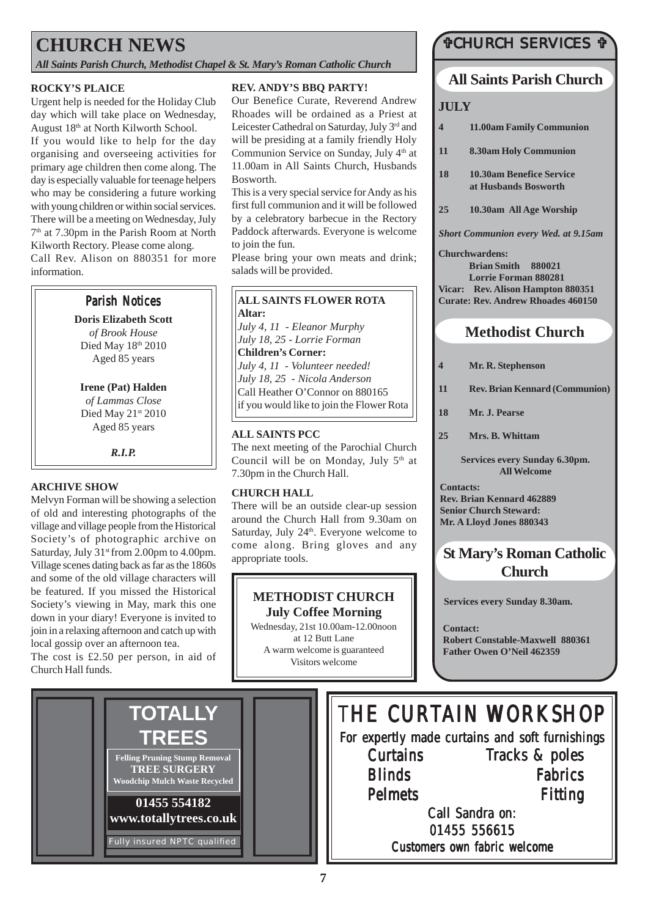# **CHURCH NEWS**

*All Saints Parish Church, Methodist Chapel & St. Mary's Roman Catholic Church*

# **ROCKY'S PLAICE**

Urgent help is needed for the Holiday Club day which will take place on Wednesday, August 18th at North Kilworth School.

If you would like to help for the day organising and overseeing activities for primary age children then come along. The day is especially valuable for teenage helpers who may be considering a future working with young children or within social services. There will be a meeting on Wednesday, July 7th at 7.30pm in the Parish Room at North Kilworth Rectory. Please come along. Call Rev. Alison on 880351 for more information.

# **Parish Notices**

**Doris Elizabeth Scott** *of Brook House* Died May 18th 2010 Aged 85 years

#### **Irene (Pat) Halden** *of Lammas Close*

Died May 21st 2010 Aged 85 years

*R.I.P.*

# **ARCHIVE SHOW**

Melvyn Forman will be showing a selection of old and interesting photographs of the village and village people from the Historical Society's of photographic archive on Saturday, July 31<sup>st</sup> from 2.00pm to 4.00pm. Village scenes dating back as far as the 1860s and some of the old village characters will be featured. If you missed the Historical Society's viewing in May, mark this one down in your diary! Everyone is invited to join in a relaxing afternoon and catch up with local gossip over an afternoon tea.

The cost is £2.50 per person, in aid of Church Hall funds.

# **REV. ANDY'S BBQ PARTY!**

Our Benefice Curate, Reverend Andrew Rhoades will be ordained as a Priest at Leicester Cathedral on Saturday, July 3<sup>rd</sup> and will be presiding at a family friendly Holy Communion Service on Sunday, July 4<sup>th</sup> at 11.00am in All Saints Church, Husbands Bosworth.

This is a very special service for Andy as his first full communion and it will be followed by a celebratory barbecue in the Rectory Paddock afterwards. Everyone is welcome to join the fun.

Please bring your own meats and drink; salads will be provided.

#### **ALL SAINTS FLOWER ROTA Altar:**

*July 4, 11 - Eleanor Murphy July 18, 25 - Lorrie Forman* **Children's Corner:** *July 4, 11 - Volunteer needed! July 18, 25 - Nicola Anderson* Call Heather O'Connor on 880165 if you would like to join the Flower Rota

# **ALL SAINTS PCC**

The next meeting of the Parochial Church Council will be on Monday, July  $5<sup>th</sup>$  at 7.30pm in the Church Hall.

# **CHURCH HALL**

There will be an outside clear-up session around the Church Hall from 9.30am on Saturday, July 24<sup>th</sup>. Everyone welcome to come along. Bring gloves and any appropriate tools.

# **METHODIST CHURCH July Coffee Morning**

Wednesday, 21st 10.00am-12.00noon at 12 Butt Lane A warm welcome is guaranteed Visitors welcome

# **TCHURCH SERVICES T**

# **All Saints Parish Church**

# **JULY**

- **4 11.00am Family Communion**
- **11 8.30am Holy Communion**
- **18 10.30am Benefice Service at Husbands Bosworth**
- **25 10.30am All Age Worship**

*Short Communion every Wed. at 9.15am*

**Churchwardens: Brian Smith 880021 Lorrie Forman 880281 Vicar: Rev. Alison Hampton 880351 Curate: Rev. Andrew Rhoades 460150**

# **Methodist Church**

- **4 Mr. R. Stephenson**
- **11 Rev. Brian Kennard (Communion)**
- **18 Mr. J. Pearse**
- **25 Mrs. B. Whittam**

**Services every Sunday 6.30pm. All Welcome**

**Contacts: Rev. Brian Kennard 462889 Senior Church Steward: Mr. A Lloyd Jones 880343**

# **St Mary's Roman Catholic Church**

**Services every Sunday 8.30am.**

**Contact: Robert Constable-Maxwell 880361 Father Owen O'Neil 462359**

#### **01455 554182 www.totallytrees.co.uk** Fully insured NPTC qualified **Felling Pruning Stump Removal TREE SURGERY Woodchip Mulch Waste Recycled** THE CURTAIN WORKSHOP For expertly made curtains and soft furnishings **Curtains Blinds** Pelmets Call Sandra on: 01455 556615 Customers own fabric welcome Tracks & poles Fabrics **Fitting TOTALLY TREES**